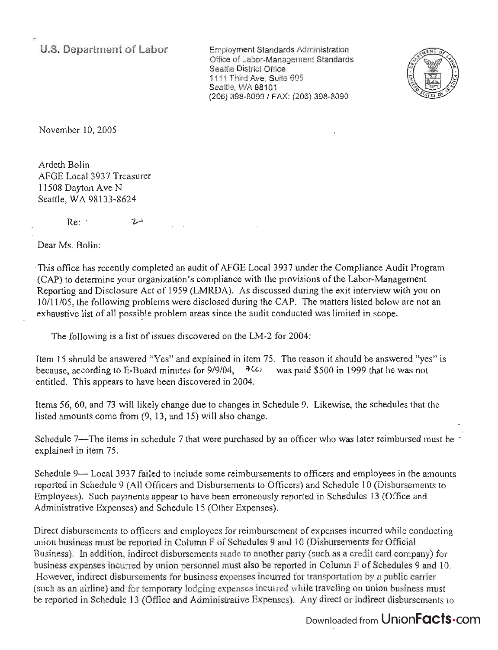**U.S. Department of Labor** 

Employment Standards Administration Office of Labor-Management Standards Seattle District Office 1111 Third Ave, Suite 605 Seattle, WA 98101 (206) 398-8099/ FAX: (206) 398-8090



November 10, 2005

Ardeth Bolin AFGE Local 3937 Treasurer 11508 Dayton Ave N Seattle, WA 98133-8624

Re: خسرام

Dear Ms. Bolin:

-This office has recently completed an audit of AFGE Local 3937 under the Compliance Audit Program (CAP) to determine your organization's compliance with the provisions of the Labor-Management Reporting and Disclosure Act of 1959 (LMRDA). As discussed during the exit interview with you on 10/11105, the following problems were disclosed during the CAP. The matters listed below are not an exhaustive list of all possible problem areas since the audit conducted was limited in scope.

The following is a list of issues discovered on the LM-2 for 2004:

Item 15 should be answered "Yes" and explained in item 75. The reason it should be answered "yes" is because, according to E-Board minutes for 9/9/04,  $\frac{4}{3}$  *(c)* was paid \$500 in 1999 that he was not entitled. This appears to have been discovered in 2004.

Items 56, 60, and 73 will likely change due to changes in Schedule 9. Likewise, the schedules that the listed amounts come from (9, 13, and 15) will also change.

Schedule 7-The items in schedule 7 that were purchased by an officer who was later reimbursed must be  $\sim$ explained in item 75.

Schedule 9-- Local 3937 failed to include some reimbursements to officers and employees in the amounts reported in Schedule 9 (All Officers and Disbursements to Officers) and Schedule 10 (Disbursements to Employees). Such payments appear to have been erroneously reported in Schedules 13 (Office and Administrative Expenses) and Schedule 15 (Other Expenses).

Direct disbursements to officers and employees for reimbursement of expenses incurred while conducting union business must be reported in Column F of Schedules 9 and 10 (Disbursements for Official Business). In addition, indirect disbursements made to another party (such as a credit card company) for business expenses incurred by union personnel must also be reported in Column F of Schedules 9 and 10. However, indirect disbursements for business expenses incurred for transportation by a public carrier (such as an airline) and for temporary lodging expenses incurred while traveling on union business must be reported in Schedule 13 (Office and Administrative Expenses). Any direct or indirect disbursements to

## Downloaded from UnionFacts.com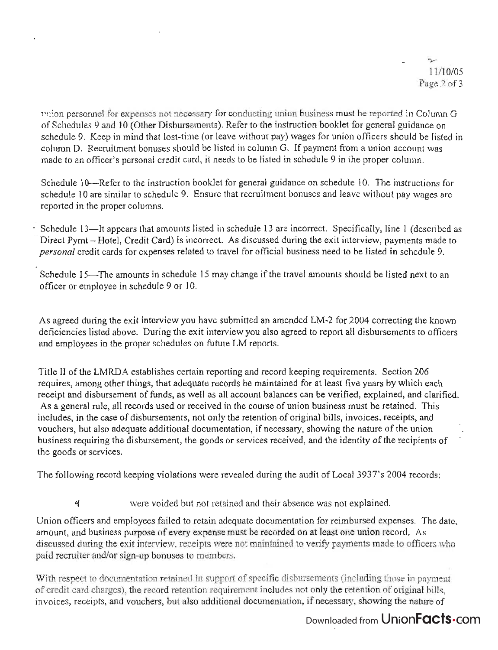union personnel for expenses not necessary for conducting union business must be reported in Column G of Schedules 9 and 10 (Other Disbursements). Refer to the instruction booklet for general guidance on schedule 9. Keep in mind that lost-time (or leave without pay) wages for union officers should be listed in column D. Recruitment bonuses should be listed in column G. If payment from a union account was made to an officer's personal credit card, it needs to be listed in schedule 9 in the proper column.

Schedule 10—Refer to the instruction booklet for general guidance on schedule 10. The instructions for schedule 10 are similar to schedule 9. Ensure that recruitment bonuses and leave without pay wages are reported in the proper columns.

- Schedule 13-1t appears that amounts listed in schedule 13 are incorrect. Specifically, line 1 (described as Direct Pymt -- Hotel, Credit Card) is incorrect. As discussed during the exit interview, payments made to *personal* credit cards for expenses related to travel for official business need to be listed in schedule 9.

Schedule 15-The amounts in schedule 15 may change if the travel amounts should be listed next to an officer or employee in schedule 9 or 10.

As agreed during the exit interview you have submitted an amended LM-2 for 2004 correcting the known deficiencies listed above. During the exit interview you also agreed to report all disbursements to officers and employees in the proper schedules on future LM reports.

Title II of the LMRDA establishes certain reporting and record keeping requirements. Section 206 requires, among other things, that adequate records be maintained for at least five years by which each receipt and disbursement of funds, as well as all account balances can be verified, explained, and clarified. As a general rule, all records used or received in the course of union business must be retained. This includes, in the case of disbursements, not only the retention of original bills, invoices, receipts, and vouchers, but also adequate additional documentation, if necessary, showing the nature of the union business requiring the disbursement, the goods or services received, and the identity of the recipients of the goods or services.

The following record keeping violations were revealed during the audit of Local 3937's 2004 records:

were voided but not retained and their absence was not explained.

4

Union officers and employees failed to retain adequate documentation for reimbursed expenses. The date, amount, and business purpose of every expense must be recorded on at least one union record. As discussed during the exit interview, receipts were not maintained to verify payments made to officers who paid recruiter and/or sign-up bonuses to members.

With respect to documentation retained in support of specific disbursements (including those in payment of credit card charges), the record retention requirement includes not only the retention of original bills, invoices, receipts, and vouchers, but also additional documentation, if necessary, showing the nature of

## Downloaded from UnionFacts.com